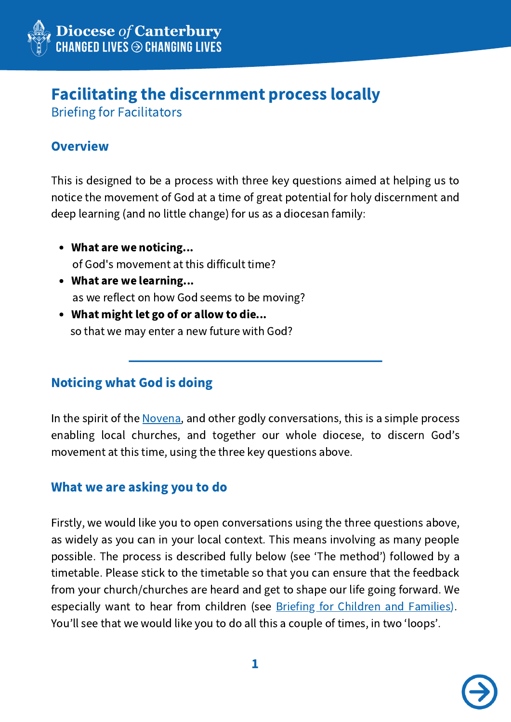

# Facilitating the discernment process locally

Briefing for Facilitators

# **Overview**

This is designed to be a process with three key questions aimed at helping us to notice the movement of God at a time of great potential for holy discernment and deep learning (and no little change) for us as a diocesan family:

- What are we noticing... of God's movement at this difficult time?
- What are we learning... as we reflect on how God seems to be moving?
- What might let go of or allow to die... so that we may enter a new future with God?

# Noticing what God is doing

In the spirit of the [Novena,](https://canterburydiocese.org/novena-) and other godly conversations, this is a simple process enabling local churches, and together our whole diocese, to discern God's movement at this time, using the three key questions above.

# What we are asking you to do

Firstly, we would like you to open conversations using the three questions above, as widely as you can in your local context. This means involving as many people possible. The process is described fully below (see ʻThe method') followed by a timetable. Please stick to the timetable so that you can ensure that the feedback from your church/churches are heard and get to shape our life going forward. We especially want to hear from children (see Briefing for Children and [Families\)](https://www.canterburydiocese.org/listening). You'll see that we would like you to do all this a couple of times, in two ʻloops'.

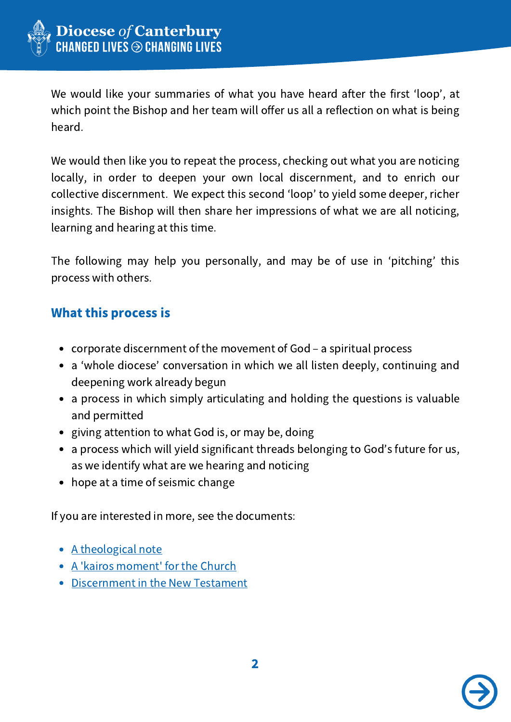

We would like your summaries of what you have heard after the first ʻloop', at which point the Bishop and her team will offer us all a reflection on what is being heard.

We would then like you to repeat the process, checking out what you are noticing locally, in order to deepen your own local discernment, and to enrich our collective discernment. We expect this second ʻloop' to yield some deeper, richer insights. The Bishop will then share her impressions of what we are all noticing, learning and hearing at this time.

The following may help you personally, and may be of use in ʻpitching' this process with others.

### What this process is

- corporate discernment of the movement of God a spiritual process
- a ʻwhole diocese' conversation in which we all listen deeply, continuing and deepening work already begun
- a process in which simply articulating and holding the questions is valuable and permitted
- giving attention to what God is, or may be, doing
- a process which will yield significant threads belonging to God's future for us, as we identify what are we hearing and noticing
- hope at a time of seismic change

If you are interested in more, see the documents:

- A [theological](http://canterburydiocese.org/content/pages/documents/1595540344.pdf) note
- A 'kairos [moment'](http://canterburydiocese.org/content/pages/documents/1595539791.pdf) for the Church
- **[Discernment](https://canterburydiocese.org/content/pages/documents/1595539980.pdf) in the New Testament**

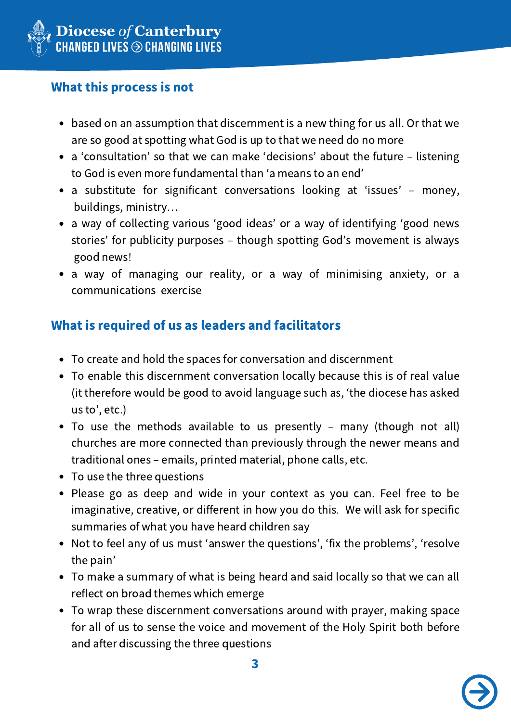

# What this process is not

- based on an assumption that discernment is a new thing for us all. Or that we are so good at spotting what God is up to that we need do no more
- a ʻconsultation' so that we can make ʻdecisions' about the future listening to God is even more fundamental than ʻa means to an end'
- a substitute for significant conversations looking at 'issues' money, buildings, ministry…
- a way of collecting various ʻgood ideas' or a way of identifying ʻgood news stories' for publicity purposes – though spotting God's movement is always good news!
- a way of managing our reality, or a way of minimising anxiety, or a communications exercise

# What is required of us as leaders and facilitators

- To create and hold the spaces for conversation and discernment
- To enable this discernment conversation locally because this is of real value (it therefore would be good to avoid language such as, ʻthe diocese has asked us to', etc.)
- To use the methods available to us presently many (though not all) churches are more connected than previously through the newer means and traditional ones – emails, printed material, phone calls, etc.
- To use the three questions
- Please go as deep and wide in your context as you can. Feel free to be imaginative, creative, or different in how you do this. We will ask for specific summaries of what you have heard children say
- Not to feel any of us must ʻanswer the questions', ʻfix the problems', ʻresolve the pain'
- To make a summary of what is being heard and said locally so that we can all reflect on broad themes which emerge
- To wrap these discernment conversations around with prayer, making space for all of us to sense the voice and movement of the Holy Spirit both before and after discussing the three questions

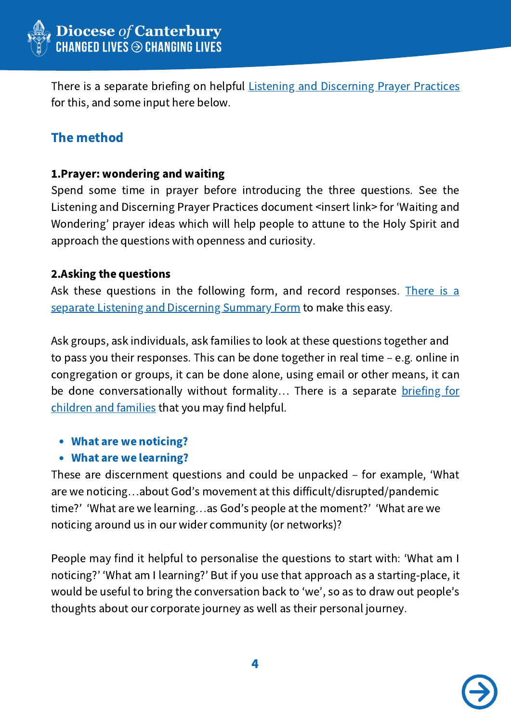

There is a separate briefing on helpful Listening and [Discerning](http://canterburydiocese.org/content/pages/documents/1595541003.pdf) Prayer Practices for this, and some input here below.

### The method

#### 1.Prayer: wondering and waiting

Spend some time in prayer before introducing the three questions. See the Listening and Discerning Prayer Practices document <insert link> for ʻWaiting and Wondering' prayer ideas which will help people to attune to the Holy Spirit and approach the questions with openness and curiosity.

#### 2.Asking the questions

Ask these questions in the following form, and record [responses.](http://canterburydiocese.org/content/pages/documents/1595541269.docx) There is a separate Listening and Discerning Summary Form to make this easy.

Ask groups, ask individuals, ask families to look at these questions together and to pass you their responses. This can be done together in real time – e.g. online in congregation or groups, it can be done alone, using email or other means, it can be done [conversationally](https://www.canterburydiocese.org/listening) without formality... There is a separate briefing for children and families that you may find helpful.

#### What are we noticing?

#### What are we learning?

These are discernment questions and could be unpacked – for example, ʻWhat are we noticing…about God's movement at this difficult/disrupted/pandemic time?' ʻWhat are we learning…as God's people at the moment?' ʻWhat are we noticing around us in our wider community (or networks)?

People may find it helpful to personalise the questions to start with: ʻWhat am I noticing?' ʻWhat am I learning?' But if you use that approach as a starting-place, it would be useful to bring the conversation back to ʻwe', so as to draw out people's thoughts about our corporate journey as well as their personal journey.